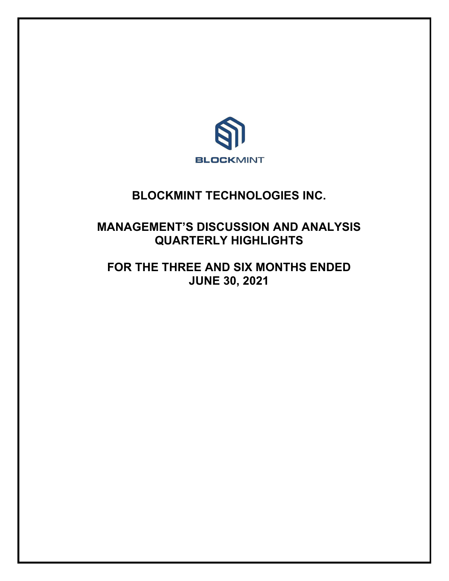

# **BLOCKMINT TECHNOLOGIES INC.**

# **MANAGEMENT'S DISCUSSION AND ANALYSIS QUARTERLY HIGHLIGHTS**

# **FOR THE THREE AND SIX MONTHS ENDED JUNE 30, 2021**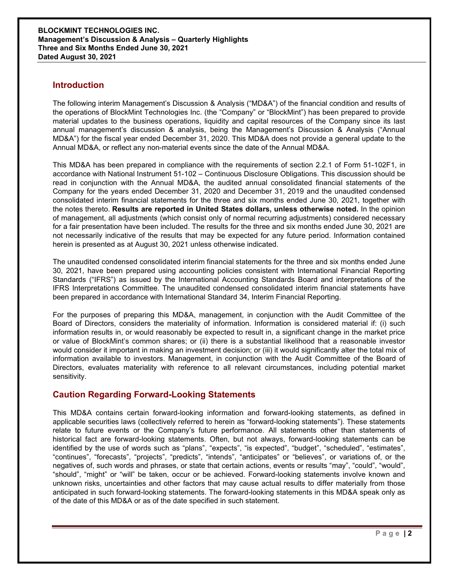## **Introduction**

The following interim Management's Discussion & Analysis ("MD&A") of the financial condition and results of the operations of BlockMint Technologies Inc. (the "Company" or "BlockMint") has been prepared to provide material updates to the business operations, liquidity and capital resources of the Company since its last annual management's discussion & analysis, being the Management's Discussion & Analysis ("Annual MD&A") for the fiscal year ended December 31, 2020. This MD&A does not provide a general update to the Annual MD&A, or reflect any non-material events since the date of the Annual MD&A.

This MD&A has been prepared in compliance with the requirements of section 2.2.1 of Form 51-102F1, in accordance with National Instrument 51-102 – Continuous Disclosure Obligations. This discussion should be read in conjunction with the Annual MD&A, the audited annual consolidated financial statements of the Company for the years ended December 31, 2020 and December 31, 2019 and the unaudited condensed consolidated interim financial statements for the three and six months ended June 30, 2021, together with the notes thereto. **Results are reported in United States dollars, unless otherwise noted.** In the opinion of management, all adjustments (which consist only of normal recurring adjustments) considered necessary for a fair presentation have been included. The results for the three and six months ended June 30, 2021 are not necessarily indicative of the results that may be expected for any future period. Information contained herein is presented as at August 30, 2021 unless otherwise indicated.

The unaudited condensed consolidated interim financial statements for the three and six months ended June 30, 2021, have been prepared using accounting policies consistent with International Financial Reporting Standards ("IFRS") as issued by the International Accounting Standards Board and interpretations of the IFRS Interpretations Committee. The unaudited condensed consolidated interim financial statements have been prepared in accordance with International Standard 34, Interim Financial Reporting.

For the purposes of preparing this MD&A, management, in conjunction with the Audit Committee of the Board of Directors, considers the materiality of information. Information is considered material if: (i) such information results in, or would reasonably be expected to result in, a significant change in the market price or value of BlockMint's common shares; or (ii) there is a substantial likelihood that a reasonable investor would consider it important in making an investment decision; or (iii) it would significantly alter the total mix of information available to investors. Management, in conjunction with the Audit Committee of the Board of Directors, evaluates materiality with reference to all relevant circumstances, including potential market sensitivity.

# **Caution Regarding Forward-Looking Statements**

This MD&A contains certain forward-looking information and forward-looking statements, as defined in applicable securities laws (collectively referred to herein as "forward-looking statements"). These statements relate to future events or the Company's future performance. All statements other than statements of historical fact are forward-looking statements. Often, but not always, forward-looking statements can be identified by the use of words such as "plans", "expects", "is expected", "budget", "scheduled", "estimates", "continues", "forecasts", "projects", "predicts", "intends", "anticipates" or "believes", or variations of, or the negatives of, such words and phrases, or state that certain actions, events or results "may", "could", "would", "should", "might" or "will" be taken, occur or be achieved. Forward-looking statements involve known and unknown risks, uncertainties and other factors that may cause actual results to differ materially from those anticipated in such forward-looking statements. The forward-looking statements in this MD&A speak only as of the date of this MD&A or as of the date specified in such statement.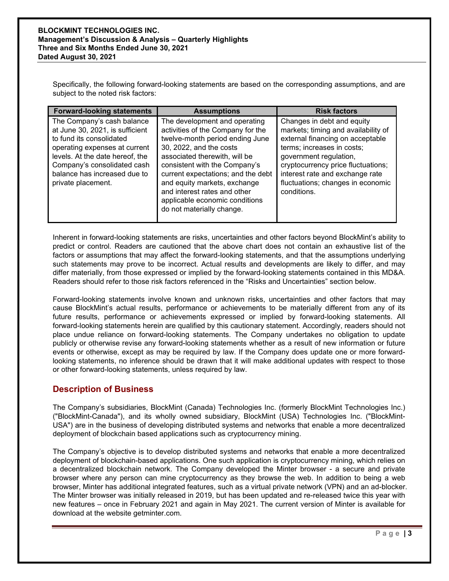Specifically, the following forward-looking statements are based on the corresponding assumptions, and are subject to the noted risk factors:

| <b>Forward-looking statements</b>                                                                                                                                                                                                                  | <b>Assumptions</b>                                                                                                                                                                                                                                                                                                                                                      | <b>Risk factors</b>                                                                                                                                                                                                                                                                        |
|----------------------------------------------------------------------------------------------------------------------------------------------------------------------------------------------------------------------------------------------------|-------------------------------------------------------------------------------------------------------------------------------------------------------------------------------------------------------------------------------------------------------------------------------------------------------------------------------------------------------------------------|--------------------------------------------------------------------------------------------------------------------------------------------------------------------------------------------------------------------------------------------------------------------------------------------|
| The Company's cash balance<br>at June 30, 2021, is sufficient<br>to fund its consolidated<br>operating expenses at current<br>levels. At the date hereof, the<br>Company's consolidated cash<br>balance has increased due to<br>private placement. | The development and operating<br>activities of the Company for the<br>twelve-month period ending June<br>30, 2022, and the costs<br>associated therewith, will be<br>consistent with the Company's<br>current expectations; and the debt<br>and equity markets, exchange<br>and interest rates and other<br>applicable economic conditions<br>do not materially change. | Changes in debt and equity<br>markets; timing and availability of<br>external financing on acceptable<br>terms; increases in costs;<br>government regulation,<br>cryptocurrency price fluctuations;<br>interest rate and exchange rate<br>fluctuations; changes in economic<br>conditions. |

Inherent in forward-looking statements are risks, uncertainties and other factors beyond BlockMint's ability to predict or control. Readers are cautioned that the above chart does not contain an exhaustive list of the factors or assumptions that may affect the forward-looking statements, and that the assumptions underlying such statements may prove to be incorrect. Actual results and developments are likely to differ, and may differ materially, from those expressed or implied by the forward-looking statements contained in this MD&A. Readers should refer to those risk factors referenced in the "Risks and Uncertainties" section below.

Forward-looking statements involve known and unknown risks, uncertainties and other factors that may cause BlockMint's actual results, performance or achievements to be materially different from any of its future results, performance or achievements expressed or implied by forward-looking statements. All forward-looking statements herein are qualified by this cautionary statement. Accordingly, readers should not place undue reliance on forward-looking statements. The Company undertakes no obligation to update publicly or otherwise revise any forward-looking statements whether as a result of new information or future events or otherwise, except as may be required by law. If the Company does update one or more forwardlooking statements, no inference should be drawn that it will make additional updates with respect to those or other forward-looking statements, unless required by law.

# **Description of Business**

The Company's subsidiaries, BlockMint (Canada) Technologies Inc. (formerly BlockMint Technologies Inc.) ("BlockMint-Canada"), and its wholly owned subsidiary, BlockMint (USA) Technologies Inc. ("BlockMint-USA") are in the business of developing distributed systems and networks that enable a more decentralized deployment of blockchain based applications such as cryptocurrency mining.

The Company's objective is to develop distributed systems and networks that enable a more decentralized deployment of blockchain-based applications. One such application is cryptocurrency mining, which relies on a decentralized blockchain network. The Company developed the Minter browser - a secure and private browser where any person can mine cryptocurrency as they browse the web. In addition to being a web browser, Minter has additional integrated features, such as a virtual private network (VPN) and an ad-blocker. The Minter browser was initially released in 2019, but has been updated and re-released twice this year with new features – once in February 2021 and again in May 2021. The current version of Minter is available for download at the website getminter.com.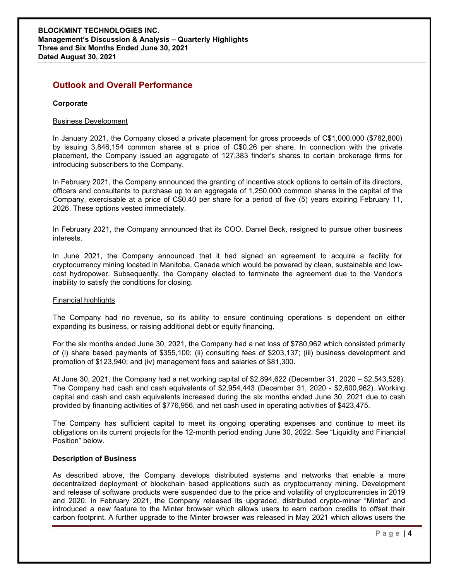# **Outlook and Overall Performance**

### **Corporate**

## Business Development

In January 2021, the Company closed a private placement for gross proceeds of C\$1,000,000 (\$782,800) by issuing 3,846,154 common shares at a price of C\$0.26 per share. In connection with the private placement, the Company issued an aggregate of 127,383 finder's shares to certain brokerage firms for introducing subscribers to the Company.

In February 2021, the Company announced the granting of incentive stock options to certain of its directors, officers and consultants to purchase up to an aggregate of 1,250,000 common shares in the capital of the Company, exercisable at a price of C\$0.40 per share for a period of five (5) years expiring February 11, 2026. These options vested immediately.

In February 2021, the Company announced that its COO, Daniel Beck, resigned to pursue other business interests.

In June 2021, the Company announced that it had signed an agreement to acquire a facility for cryptocurrency mining located in Manitoba, Canada which would be powered by clean, sustainable and lowcost hydropower. Subsequently, the Company elected to terminate the agreement due to the Vendor's inability to satisfy the conditions for closing.

#### Financial highlights

The Company had no revenue, so its ability to ensure continuing operations is dependent on either expanding its business, or raising additional debt or equity financing.

For the six months ended June 30, 2021, the Company had a net loss of \$780,962 which consisted primarily of (i) share based payments of \$355,100; (ii) consulting fees of \$203,137; (iii) business development and promotion of \$123,940; and (iv) management fees and salaries of \$81,300.

At June 30, 2021, the Company had a net working capital of \$2,894,622 (December 31, 2020 – \$2,543,528). The Company had cash and cash equivalents of \$2,954,443 (December 31, 2020 - \$2,600,962). Working capital and cash and cash equivalents increased during the six months ended June 30, 2021 due to cash provided by financing activities of \$776,956, and net cash used in operating activities of \$423,475.

The Company has sufficient capital to meet its ongoing operating expenses and continue to meet its obligations on its current projects for the 12-month period ending June 30, 2022. See "Liquidity and Financial Position" below.

## **Description of Business**

As described above, the Company develops distributed systems and networks that enable a more decentralized deployment of blockchain based applications such as cryptocurrency mining. Development and release of software products were suspended due to the price and volatility of cryptocurrencies in 2019 and 2020. In February 2021, the Company released its upgraded, distributed crypto-miner "Minter" and introduced a new feature to the Minter browser which allows users to earn carbon credits to offset their carbon footprint. A further upgrade to the Minter browser was released in May 2021 which allows users the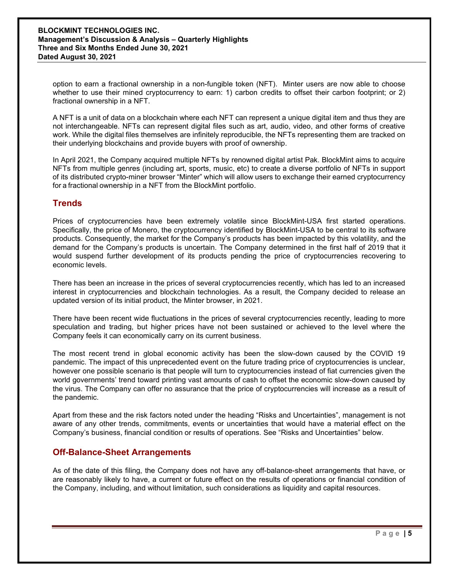option to earn a fractional ownership in a non-fungible token (NFT). Minter users are now able to choose whether to use their mined cryptocurrency to earn: 1) carbon credits to offset their carbon footprint; or 2) fractional ownership in a NFT.

A NFT is a unit of data on a blockchain where each NFT can represent a unique digital item and thus they are not interchangeable. NFTs can represent digital files such as art, audio, video, and other forms of creative work. While the digital files themselves are infinitely reproducible, the NFTs representing them are tracked on their underlying blockchains and provide buyers with proof of ownership.

In April 2021, the Company acquired multiple NFTs by renowned digital artist Pak. BlockMint aims to acquire NFTs from multiple genres (including art, sports, music, etc) to create a diverse portfolio of NFTs in support of its distributed crypto-miner browser "Minter" which will allow users to exchange their earned cryptocurrency for a fractional ownership in a NFT from the BlockMint portfolio.

## **Trends**

Prices of cryptocurrencies have been extremely volatile since BlockMint-USA first started operations. Specifically, the price of Monero, the cryptocurrency identified by BlockMint-USA to be central to its software products. Consequently, the market for the Company's products has been impacted by this volatility, and the demand for the Company's products is uncertain. The Company determined in the first half of 2019 that it would suspend further development of its products pending the price of cryptocurrencies recovering to economic levels.

There has been an increase in the prices of several cryptocurrencies recently, which has led to an increased interest in cryptocurrencies and blockchain technologies. As a result, the Company decided to release an updated version of its initial product, the Minter browser, in 2021.

There have been recent wide fluctuations in the prices of several cryptocurrencies recently, leading to more speculation and trading, but higher prices have not been sustained or achieved to the level where the Company feels it can economically carry on its current business.

The most recent trend in global economic activity has been the slow-down caused by the COVID 19 pandemic. The impact of this unprecedented event on the future trading price of cryptocurrencies is unclear, however one possible scenario is that people will turn to cryptocurrencies instead of fiat currencies given the world governments' trend toward printing vast amounts of cash to offset the economic slow-down caused by the virus. The Company can offer no assurance that the price of cryptocurrencies will increase as a result of the pandemic.

Apart from these and the risk factors noted under the heading "Risks and Uncertainties", management is not aware of any other trends, commitments, events or uncertainties that would have a material effect on the Company's business, financial condition or results of operations. See "Risks and Uncertainties" below.

## **Off-Balance-Sheet Arrangements**

As of the date of this filing, the Company does not have any off-balance-sheet arrangements that have, or are reasonably likely to have, a current or future effect on the results of operations or financial condition of the Company, including, and without limitation, such considerations as liquidity and capital resources.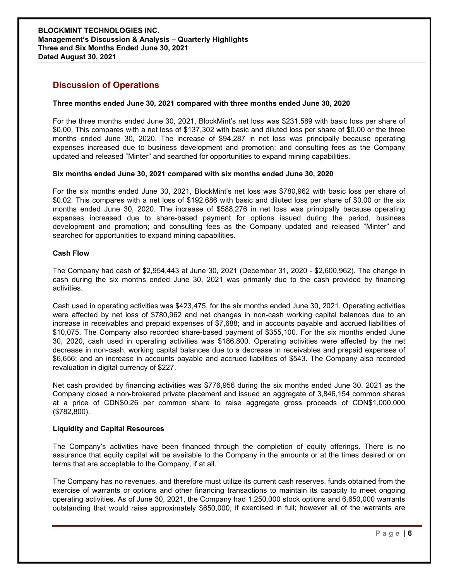## **Discussion of Operations**

#### **Three months ended June 30, 2021 compared with three months ended June 30, 2020**

For the three months ended June 30, 2021, BlockMint's net loss was \$231,589 with basic loss per share of \$0.00. This compares with a net loss of \$137,302 with basic and diluted loss per share of \$0.00 or the three months ended June 30, 2020. The increase of \$94,287 in net loss was principally because operating expenses increased due to business development and promotion; and consulting fees as the Company updated and released "Minter" and searched for opportunities to expand mining capabilities.

#### **Six months ended June 30, 2021 compared with six months ended June 30, 2020**

For the six months ended June 30, 2021, BlockMint's net loss was \$780,962 with basic loss per share of \$0.02. This compares with a net loss of \$192,686 with basic and diluted loss per share of \$0.00 or the six months ended June 30, 2020. The increase of \$588,276 in net loss was principally because operating expenses increased due to share-based payment for options issued during the period, business development and promotion; and consulting fees as the Company updated and released "Minter" and searched for opportunities to expand mining capabilities.

#### **Cash Flow**

The Company had cash of \$2,954,443 at June 30, 2021 (December 31, 2020 - \$2,600,962). The change in cash during the six months ended June 30, 2021 was primarily due to the cash provided by financing activities.

Cash used in operating activities was \$423,475, for the six months ended June 30, 2021. Operating activities were affected by net loss of \$780,962 and net changes in non-cash working capital balances due to an increase in receivables and prepaid expenses of \$7,688; and in accounts payable and accrued liabilities of \$10,075. The Company also recorded share-based payment of \$355,100. For the six months ended June 30, 2020, cash used in operating activities was \$186,800. Operating activities were affected by the net decrease in non-cash, working capital balances due to a decrease in receivables and prepaid expenses of \$6,656; and an increase in accounts payable and accrued liabilities of \$543. The Company also recorded revaluation in digital currency of \$227.

Net cash provided by financing activities was \$776,956 during the six months ended June 30, 2021 as the Company closed a non-brokered private placement and issued an aggregate of 3,846,154 common shares at a price of CDN\$0.26 per common share to raise aggregate gross proceeds of CDN\$1,000,000 (\$782,800).

#### **Liquidity and Capital Resources**

The Company's activities have been financed through the completion of equity offerings. There is no assurance that equity capital will be available to the Company in the amounts or at the times desired or on terms that are acceptable to the Company, if at all.

The Company has no revenues, and therefore must utilize its current cash reserves, funds obtained from the exercise of warrants or options and other financing transactions to maintain its capacity to meet ongoing operating activities. As of June 30, 2021, the Company had 1,250,000 stock options and 6,650,000 warrants outstanding that would raise approximately \$650,000, if exercised in full; however all of the warrants are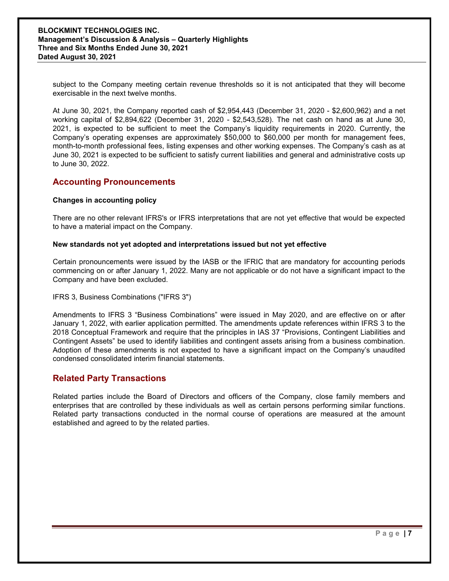subject to the Company meeting certain revenue thresholds so it is not anticipated that they will become exercisable in the next twelve months.

At June 30, 2021, the Company reported cash of \$2,954,443 (December 31, 2020 - \$2,600,962) and a net working capital of \$2,894,622 (December 31, 2020 - \$2,543,528). The net cash on hand as at June 30, 2021, is expected to be sufficient to meet the Company's liquidity requirements in 2020. Currently, the Company's operating expenses are approximately \$50,000 to \$60,000 per month for management fees, month-to-month professional fees, listing expenses and other working expenses. The Company's cash as at June 30, 2021 is expected to be sufficient to satisfy current liabilities and general and administrative costs up to June 30, 2022.

# **Accounting Pronouncements**

#### **Changes in accounting policy**

There are no other relevant IFRS's or IFRS interpretations that are not yet effective that would be expected to have a material impact on the Company.

## **New standards not yet adopted and interpretations issued but not yet effective**

Certain pronouncements were issued by the IASB or the IFRIC that are mandatory for accounting periods commencing on or after January 1, 2022. Many are not applicable or do not have a significant impact to the Company and have been excluded.

## IFRS 3, Business Combinations ("IFRS 3")

Amendments to IFRS 3 "Business Combinations" were issued in May 2020, and are effective on or after January 1, 2022, with earlier application permitted. The amendments update references within IFRS 3 to the 2018 Conceptual Framework and require that the principles in IAS 37 "Provisions, Contingent Liabilities and Contingent Assets" be used to identify liabilities and contingent assets arising from a business combination. Adoption of these amendments is not expected to have a significant impact on the Company's unaudited condensed consolidated interim financial statements.

# **Related Party Transactions**

Related parties include the Board of Directors and officers of the Company, close family members and enterprises that are controlled by these individuals as well as certain persons performing similar functions. Related party transactions conducted in the normal course of operations are measured at the amount established and agreed to by the related parties.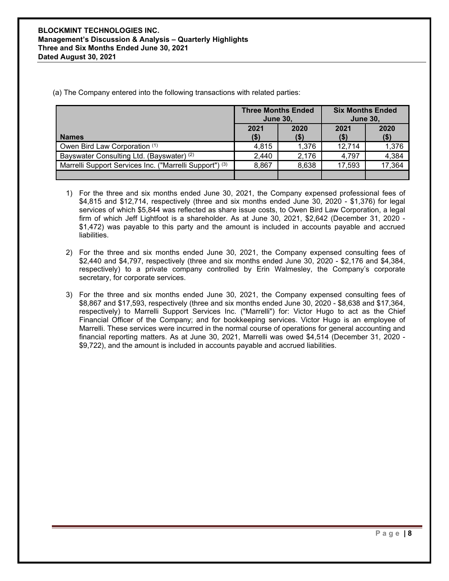(a) The Company entered into the following transactions with related parties:

|                                                         | <b>Three Months Ended</b><br><b>June 30,</b> |              | <b>Six Months Ended</b><br><b>June 30,</b> |                 |
|---------------------------------------------------------|----------------------------------------------|--------------|--------------------------------------------|-----------------|
| <b>Names</b>                                            | 2021<br>( \$)                                | 2020<br>(\$) | 2021<br>$($ \$)                            | 2020<br>$($ \$) |
| Owen Bird Law Corporation (1)                           | 4,815                                        | 1.376        | 12,714                                     | 1,376           |
| Bayswater Consulting Ltd. (Bayswater) (2)               | 2,440                                        | 2,176        | 4,797                                      | 4,384           |
| Marrelli Support Services Inc. ("Marrelli Support") (3) | 8,867                                        | 8,638        | 17,593                                     | 17,364          |
|                                                         |                                              |              |                                            |                 |

- 1) For the three and six months ended June 30, 2021, the Company expensed professional fees of \$4,815 and \$12,714, respectively (three and six months ended June 30, 2020 - \$1,376) for legal services of which \$5,844 was reflected as share issue costs, to Owen Bird Law Corporation, a legal firm of which Jeff Lightfoot is a shareholder. As at June 30, 2021, \$2,642 (December 31, 2020 - \$1,472) was payable to this party and the amount is included in accounts payable and accrued liabilities.
- 2) For the three and six months ended June 30, 2021, the Company expensed consulting fees of \$2,440 and \$4,797, respectively (three and six months ended June 30, 2020 - \$2,176 and \$4,384, respectively) to a private company controlled by Erin Walmesley, the Company's corporate secretary, for corporate services.
- 3) For the three and six months ended June 30, 2021, the Company expensed consulting fees of \$8,867 and \$17,593, respectively (three and six months ended June 30, 2020 - \$8,638 and \$17,364, respectively) to Marrelli Support Services Inc. ("Marrelli") for: Victor Hugo to act as the Chief Financial Officer of the Company; and for bookkeeping services. Victor Hugo is an employee of Marrelli. These services were incurred in the normal course of operations for general accounting and financial reporting matters. As at June 30, 2021, Marrelli was owed \$4,514 (December 31, 2020 - \$9,722), and the amount is included in accounts payable and accrued liabilities.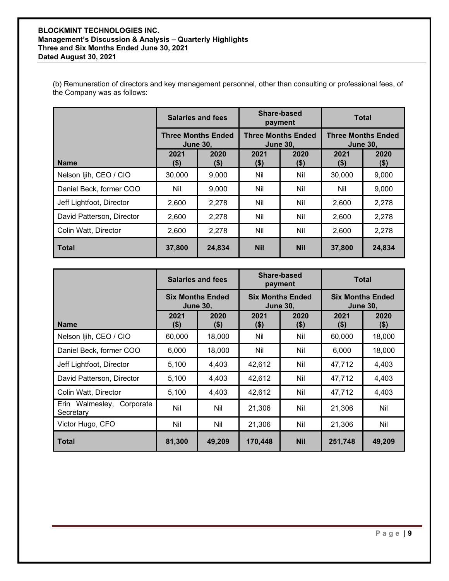## **BLOCKMINT TECHNOLOGIES INC. Management's Discussion & Analysis – Quarterly Highlights Three and Six Months Ended June 30, 2021 Dated August 30, 2021**

(b) Remuneration of directors and key management personnel, other than consulting or professional fees, of the Company was as follows:

|                           | <b>Salaries and fees</b><br><b>Three Months Ended</b><br><b>June 30,</b> |                 | Share-based<br>payment                       |             | <b>Total</b>                                 |                 |
|---------------------------|--------------------------------------------------------------------------|-----------------|----------------------------------------------|-------------|----------------------------------------------|-----------------|
|                           |                                                                          |                 | <b>Three Months Ended</b><br><b>June 30,</b> |             | <b>Three Months Ended</b><br><b>June 30,</b> |                 |
| <b>Name</b>               | 2021<br>$($ \$)                                                          | 2020<br>$($ \$) | 2021<br>\$)                                  | 2020<br>\$) | 2021<br>(\$)                                 | 2020<br>$($ \$) |
| Nelson Ijih, CEO / CIO    | 30,000                                                                   | 9,000           | Nil                                          | Nil         | 30,000                                       | 9,000           |
| Daniel Beck, former COO   | Nil                                                                      | 9,000           | Nil                                          | Nil         | Nil                                          | 9,000           |
| Jeff Lightfoot, Director  | 2,600                                                                    | 2,278           | Nil                                          | Nil         | 2,600                                        | 2,278           |
| David Patterson, Director | 2,600                                                                    | 2,278           | Nil                                          | Nil         | 2,600                                        | 2,278           |
| Colin Watt, Director      | 2,600                                                                    | 2,278           | Nil                                          | Nil         | 2,600                                        | 2,278           |
| l Total                   | 37,800                                                                   | 24,834          | <b>Nil</b>                                   | <b>Nil</b>  | 37,800                                       | 24,834          |

|                                        | <b>Salaries and fees</b><br><b>Six Months Ended</b><br><b>June 30,</b> |                 | Share-based<br>payment<br><b>Six Months Ended</b><br><b>June 30.</b> |                 | <b>Total</b>                               |                 |
|----------------------------------------|------------------------------------------------------------------------|-----------------|----------------------------------------------------------------------|-----------------|--------------------------------------------|-----------------|
|                                        |                                                                        |                 |                                                                      |                 | <b>Six Months Ended</b><br><b>June 30,</b> |                 |
| <b>Name</b>                            | 2021<br>(\$)                                                           | 2020<br>$($ \$) | 2021<br>$($ \$)                                                      | 2020<br>$($ \$) | 2021<br>$($ \$)                            | 2020<br>$($ \$) |
| Nelson Ijih, CEO / CIO                 | 60,000                                                                 | 18,000          | Nil                                                                  | Nil             | 60,000                                     | 18,000          |
| Daniel Beck, former COO                | 6,000                                                                  | 18,000          | Nil                                                                  | Nil             | 6,000                                      | 18,000          |
| Jeff Lightfoot, Director               | 5,100                                                                  | 4,403           | 42,612                                                               | Nil             | 47,712                                     | 4,403           |
| David Patterson, Director              | 5,100                                                                  | 4,403           | 42,612                                                               | Nil             | 47,712                                     | 4,403           |
| Colin Watt, Director                   | 5,100                                                                  | 4,403           | 42,612                                                               | Nil             | 47,712                                     | 4,403           |
| Erin Walmesley, Corporate<br>Secretary | Nil                                                                    | Nil             | 21,306                                                               | Nil             | 21,306                                     | Nil             |
| Victor Hugo, CFO                       | Nil                                                                    | Nil             | 21,306                                                               | Nil             | 21,306                                     | Nil             |
| Total                                  | 81,300                                                                 | 49,209          | 170,448                                                              | <b>Nil</b>      | 251,748                                    | 49,209          |